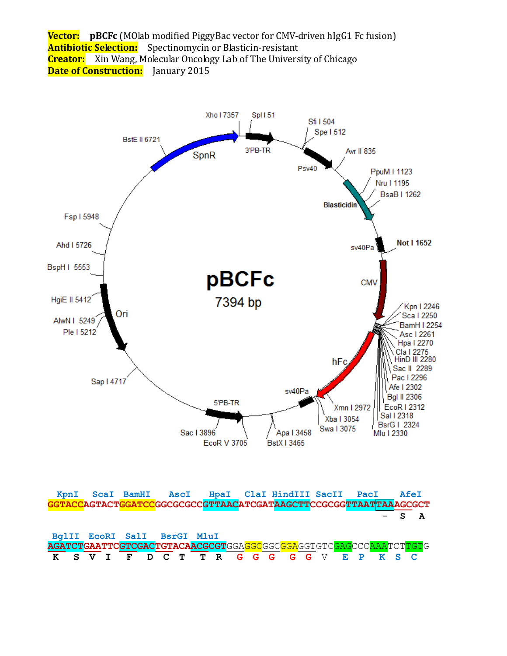



| KpnI |  |                             |  |  |  |  | ScaI BamHI AscI HpaI ClaI HindIII SacII PacI                   |  |  |  | AfeI    |  |
|------|--|-----------------------------|--|--|--|--|----------------------------------------------------------------|--|--|--|---------|--|
|      |  |                             |  |  |  |  |                                                                |  |  |  |         |  |
|      |  |                             |  |  |  |  |                                                                |  |  |  | $-$ S A |  |
|      |  |                             |  |  |  |  |                                                                |  |  |  |         |  |
|      |  | BqlII EcoRI SalI BsrGI MluI |  |  |  |  |                                                                |  |  |  |         |  |
|      |  |                             |  |  |  |  |                                                                |  |  |  |         |  |
|      |  |                             |  |  |  |  | AGATCTGAATTCGTCGACTGTACAACGCGTGGAGGCGGGAGGTGTCGAGCCCAAATCTTGTG |  |  |  |         |  |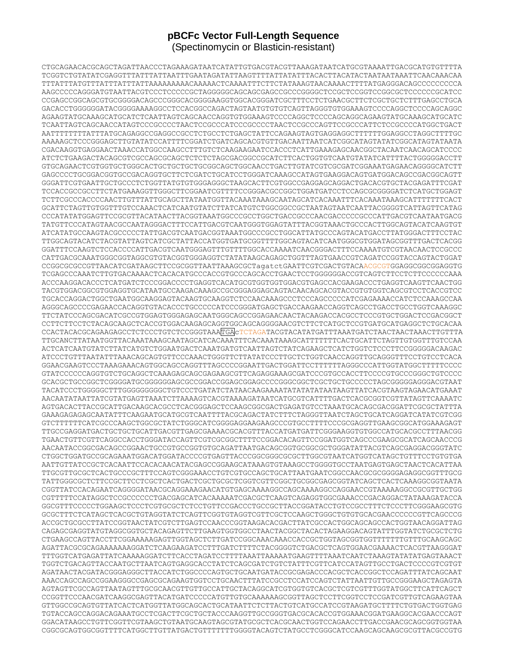## **pBCFc Vector Full-Length Sequence** (Spectinomycin or Blasticin-resistant)

CTGCAGAACACGCAGCTAGATTAACCCTAGAAAGATAATCATATTGTGACGTACGTTAAAGATAATCATGCGTAAAATTGACGCATGTGTTTTA TCGGTCTGTATATCGAGGTTTATTTATTAATTTGAATAGATATTAAGTTTTATTATATTTACACTTACATACTAATAATAAATTCAACAAACAA TTTATTTATGTTTATTTATTTATTAAAAAAAAACAAAAACTCAAAATTTCTTCTATAAAGTAACAAAACTTTTATGAGGGACAGCCCCCCCCCA AAGCCCCCAGGGATGTAATTACGTCCCTCCCCCGCTAGGGGGCAGCAGCGAGCCGCCCGGGGCTCCGCTCCGGTCCGGCGCTCCCCCCGCATCC CCGAGCCGGCAGCGTGCGGGGACAGCCCGGGCACGGGGAAGGTGGCACGGGATCGCTTTCCTCTGAACGCTTCTCGCTGCTCTTTGAGCCTGCA GACACCTGGGGGGATACGGGGAAAAGGCCTCCACGGCCAGACTAGTAATGTGTGTCAGTTAGGGTGTGGAAAGTCCCCAGGCTCCCCAGCAGGC AGAAGTATGCAAAGCATGCATCTCAATTAGTCAGCAACCAGGTGTGGAAAGTCCCCAGGCTCCCCAGCAGGCAGAAGTATGCAAAGCATGCATC TCAATTAGTCAGCAACCATAGTCCCGCCCCTAACTCCGCCCATCCCGCCCCTAACTCCGCCCAGTTCCGCCCATTCTCCGCCCCATGGCTGACT AATTTTTTTTATTTATGCAGAGGCCGAGGCCGCCTCTGCCTCTGAGCTATTCCAGAAGTAGTGAGGAGGCTTTTTTGGAGGCCTAGGCTTTTGC AAAAAGCTCCCGGGAGCTTGTATATCCATTTTCGGATCTGATCAGCACGTGTTGACAATTAATCATCGGCATAGTATATCGGCATAGTATAATA CGACAAGGTGAGGAACTAAACCATGGCCAAGCCTTTGTCTCAAGAAGAATCCACCCTCATTGAAAGAGCAACGGCTACAATCAACAGCATCCCC ATCTCTGAAGACTACAGCGTCGCCAGCGCAGCTCTCTCTAGCGACGGCCGCATCTTCACTGGTGTCAATGTATATCATTTTACTGGGGGACCTT GTGCAGAACTCGTGGTGCTGGGCACTGCTGCTGCTGCGGCAGCTGGCAACCTGACTTGTATCGTCGCGATCGGAAATGAGAACAGGGGCATCTT GAGCCCCTGCGGACGGTGCCGACAGGTGCTTCTCGATCTGCATCCTGGGATCAAAGCCATAGTGAAGGACAGTGATGGACAGCCGACGGCAGTT GGGATTCGTGAATTGCTGCCCTCTGGTTATGTGTGGGAGGGCTAAGCACTTCGTGGCCGAGGAGCAGGACTGACACGTGCTACGAGATTTCGAT TCCACCGCCGCCTTCTATGAAAGGTTGGGCTTCGGAATCGTTTTCCGGGACGCCGGCTGGATGATCCTCCAGCGCGGGGATCTCATGCTGGAGT TCTTCGCCCACCCCAACTTGTTTATTGCAGCTTATAATGGTTACAAATAAAGCAATAGCATCACAAATTTCACAAATAAAGCATTTTTTTCACT GCATTCTAGTTGTGGTTTGTCCAAACTCATCAATGTATCTTATCATGTCTGGCGGCCGCTAATAGTAATCAATTACGGGGTCATTAGTTCATAG CCCATATATGGAGTTCCGCGTTACATAACTTACGGTAAATGGCCCGCCTGGCTGACCGCCCAACGACCCCCGCCCATTGACGTCAATAATGACG TATGTTCCCATAGTAACGCCAATAGGGACTTTCCATTGACGTCAATGGGTGGAGTATTTACGGTAAACTGCCCACTTGGCAGTACATCAAGTGT ATCATATGCCAAGTACGCCCCCTATTGACGTCAATGACGGTAAATGGCCCGCCTGGCATTATGCCCAGTACATGACCTTATGGGACTTTCCTAC TTGGCAGTACATCTACGTATTAGTCATCGCTATTACCATGGTGATGCGGTTTTGGCAGTACATCAATGGGCGTGGATAGCGGTTTGACTCACGG GGATTTCCAAGTCTCCACCCCATTGACGTCAATGGGAGTTTGTTTTGGCACCAAAATCAACGGGACTTTCCAAAATGTCGTAACAACTCCGCCC CATTGACGCAAATGGGCGGTAGGCGTGTACGGTGGGAGGTCTATATAAGCAGAGCTGGTTTAGTGAACCGTCAGATCCGGTACCAGTACTGGAT CCGGCGCGCCGTTAACATCGATAAGCTTCCGCGGTTAATTAAAGCGCTagatctGAATTCGTCGACTGTACAACGCGTGGAGGCGGCGGAGGTG TCGAGCCCAAATCTTGTGACAAAACTCACACATGCCCACCGTGCCCAGCACCTGAACTCCTGGGGGGACCGTCAGTCTTCCTCTTCCCCCCAAA ACCCAAGGACACCCTCATGATCTCCCGGACCCCTGAGGTCACATGCGTGGTGGTGGACGTGAGCCACGAAGACCCTGAGGTCAAGTTCAACTGG TACGTGGACGGCGTGGAGGTGCATAATGCCAAGACAAAGCCGCGGGAGGAGCAGTACAACAGCACGTACCGTGTGGTCAGCGTCCTCACCGTCC TGCACCAGGACTGGCTGAATGGCAAGGAGTACAAGTGCAAGGTCTCCAACAAAGCCCTCCCAGCCCCCATCGAGAAAACCATCTCCAAAGCCAA AGGGCAGCCCCGAGAACCACAGGTGTACACCCTGCCCCCATCCCGGGATGAGCTGACCAAGAACCAGGTCAGCCTGACCTGCCTGGTCAAAGGC TTCTATCCCAGCGACATCGCCGTGGAGTGGGAGAGCAATGGGCAGCCGGAGAACAACTACAAGACCACGCCTCCCGTGCTGGACTCCGACGGCT CCTTCTTCCTCTACAGCAAGCTCACCGTGGACAAGAGCAGGTGGCAGCAGGGGAACGTCTTCTCATGCTCCGTGATGCATGAGGCTCTGCACAA CCACTACACGCAGAAGAGCCTCTCCCTGTCTCCGGGTAAATGAcTCTAGATACGTACATATGATTTAAATGATCTAACTAACTAAACTTGTTTA TTGCANCTTATAATGGTTACAAATAAAGCAATAGCATCACAAATTTCACAAATAAAGCATTTTTTTCACTGCATTCTAGTTGTGGTTTGTCCAA ACTCATCAATGTATCTTATCATGTCTGGAATGACTCAAATGATGTCAATTAGTCTATCAGAAGCTCATCTGGTCTCCCTTCCGGGGGACAAGAC ATCCCTGTTTAATATTTAAACAGCAGTGTTCCCAAACTGGGTTCTTATATCCCTTGCTCTGGTCAACCAGGTTGCAGGGTTTCCTGTCCTCACA GGAACGAAGTCCCTAAAGAAACAGTGGCAGCCAGGTTTAGCCCCGGAATTGACTGGATTCCTTTTTTAGGGCCCATTGGTATGGCTTTTTCCCC GTATCCCCCCAGGTGTCTGCAGGCTCAAAGAGCAGCGAGAAGCGTTCAGAGGAAAGCGATCCCGTGCCACCTTCCCCGTGCCCGGGCTGTCCCC GCACGCTGCCGGCTCGGGGATGCGGGGGGAGCGCCGGACCGGAGCGGAGCCCCGGGCGGCTCGCTGCTGCCCCCTAGCGGGGGAGGGACGTAAT TACATCCCTGGGGGCTTTGGGGGGGGGCTGTCCCTGATATCTATAACAAGAAAATATATATATAATAAGTTATCACGTAAGTAGAACATGAAAT AACAATATAATTATCGTATGAGTTAAATCTTAAAAGTCACGTAAAAGATAATCATGCGTCATTTTGACTCACGCGGTCGTTATAGTTCAAAATC AGTGACACTTACCGCATTGACAAGCACGCCTCACGGGAGCTCCAAGCGGCGACTGAGATGTCCTAAATGCACAGCGACGGATTCGCGCTATTTA GAAAGAGAGAGCAATATTTCAAGAATGCATGCGTCAATTTTACGCAGACTATCTTTCTAGGGTTAATCTAGCTGCATCAGGATCATATCGTCGG GTCTTTTTTCATCGCCCAAGCTGGCGCTATCTGGGCATCGGGGAGGAAGAAGCCCGTGCCTTTTCCCGCGAGGTTGAAGCGGCATGGAAAGAGT TTGCCGAGGATGACTGCTGCTGCATTGACGTTGAGCGAAAACGCACGTTTACCATGATGATTCGGGAAGGTGTGGCCATGCACGCCTTTAACGG TGAACTGTTCGTTCAGGCCACCTGGGATACCAGTTCGTCGCGGCTTTTCCGGACACAGTTCCGGATGGTCAGCCCGAAGCGCATCAGCAACCCG AACAATACCGGCGACAGCCGGAACTGCCGTGCCGGTGTGCAGATTAATGACAGCGGTGCGGCGCTGGGATATTACGTCAGCGAGGACGGGTATC CTGGCTGGATGCCGCAGAAATGGACATGGATACCCCGTGAGTTACCCGGCGGGCGCGCTTGGCGTAATCATGGTCATAGCTGTTTCCTGTGTGA AATTGTTATCCGCTCACAATTCCACACAACATACGAGCCGGAAGCATAAAGTGTAAAGCCTGGGGTGCCTAATGAGTGAGCTAACTCACATTAA TTGCGTTGCGCTCACTGCCCGCTTTCCAGTCGGGAAACCTGTCGTGCCAGCTGCATTAATGAATCGGCCAACGCGCGGGGAGAGGCGGTTTGCG TATTGGGCGCTCTTCCGCTTCCTCGCTCACTGACTCGCTGCGCTCGGTCGTTCGGCTGCGGCGAGCGGTATCAGCTCACTCAAAGGCGGTAATA CGGTTATCCACAGAATCAGGGGATAACGCAGGAAAGAACATGTGAGCAAAAGGCCAGCAAAAGGCCAGGAACCGTAAAAAGGCCGCGTTGCTGG CGTTTTTCCATAGGCTCCGCCCCCCTGACGAGCATCACAAAAATCGACGCTCAAGTCAGAGGTGGCGAAACCCGACAGGACTATAAAGATACCA GGCGTTTCCCCCTGGAAGCTCCCTCGTGCGCTCTCCTGTTCCGACCCTGCCGCTTACCGGATACCTGTCCGCCTTTCTCCCTTCGGGAAGCGTG GCGCTTTCTCATAGCTCACGCTGTAGGTATCTCAGTTCGGTGTAGGTCGTTCGCTCCAAGCTGGGCTGTGTGCACGAACCCCCCGTTCAGCCCG ACCGCTGCGCCTTATCCGGTAACTATCGTCTTGAGTCCAACCCGGTAAGACACGACTTATCGCCACTGGCAGCAGCCACTGGTAACAGGATTAG CAGAGCGAGGTATGTAGGCGGTGCTACAGAGTTCTTGAAGTGGTGGCCTAACTACGGCTACACTAGAAGGACAGTATTTGGTATCTGCGCTCTG CTGAAGCCAGTTACCTTCGGAAAAAGAGTTGGTAGCTCTTGATCCGGCAAACAAACCACCGCTGGTAGCGGTGGTTTTTTTGTTTGCAAGCAGC AGATTACGCGCAGAAAAAAAGGATCTCAAGAAGATCCTTTGATCTTTTCTACGGGGTCTGACGCTCAGTGGAACGAAAACTCACGTTAAGGGAT TTTGGTCATGAGATTATCAAAAAGGATCTTCACCTAGATCCTTTTAAATTAAAAATGAAGTTTTAAATCAATCTAAAGTATATATGAGTAAACT TGGTCTGACAGTTACCAATGCTTAATCAGTGAGGCACCTATCTCAGCGATCTGTCTATTTCGTTCATCCATAGTTGCCTGACTCCCCGTCGTGT AGATAACTACGATACGGGAGGGCTTACCATCTGGCCCCAGTGCTGCAATGATACCGCGAGACCCACGCTCACCGGCTCCAGATTTATCAGCAAT AAACCAGCCAGCCGGAAGGGCCGAGCGCAGAAGTGGTCCTGCAACTTTATCCGCCTCCATCCAGTCTATTAATTGTTGCCGGGAAGCTAGAGTA AGTAGTTCGCCAGTTAATAGTTTGCGCAACGTTGTTGCCATTGCTACAGGCATCGTGGTGTCACGCTCGTCGTTTGGTATGGCTTCATTCAGCT CCGGTTCCCAACGATCAAGGCGAGTTACATGATCCCCCATGTTGTGCAAAAAAGCGGTTAGCTCCTTCGGTCCTCCGATCGTTGTCAGAAGTAA GTTGGCCGCAGTGTTATCACTCATGGTTATGGCAGCACTGCATAATTCTCTTACTGTCATGCCATCCGTAAGATGCTTTTCTGTGACTGGTGAG TGTACCAGCCAGGACAGAAATGCCTCGACTTCGCTGCTACCCAAGGTTGCCGGGTGACGCACACCGTGGAAACGGATGAAGGCACGAACCCAGT GGACATAAGCCTGTTCGGTTCGTAAGCTGTAATGCAAGTAGCGTATGCGCTCACGCAACTGGTCCAGAACCTTGACCGAACGCAGCGGTGGTAA CGGCGCAGTGGCGGTTTTCATGGCTTGTTATGACTGTTTTTTTGGGGTACAGTCTATGCCTCGGGCATCCAAGCAGCAAGCGCGTTACGCCGTG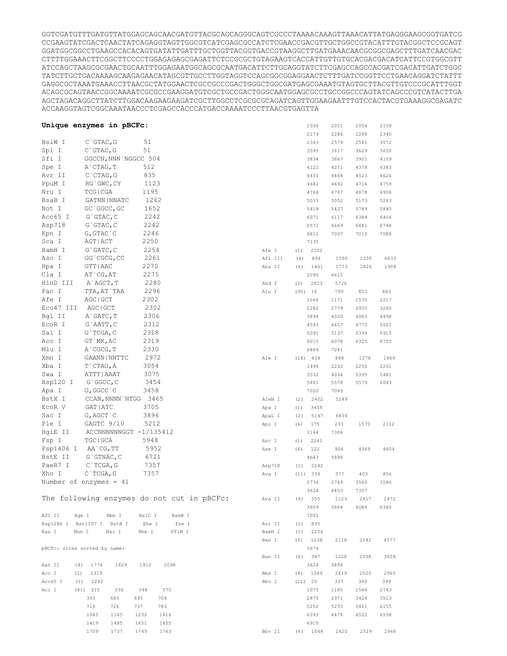GGTCGATGTTTGATGTTATGGAGCAGCAACGATGTTACGCAGCAGGGCAGTCGCCCTAAAACAAAGTTAAACATTATGAGGGAAGCGGTGATCG CCGAAGTATCGACTCAACTATCAGAGGTAGTTGGCGTCATCGAGCGCCATCTCGAACCGACGTTGCTGGCCGTACATTTGTACGGCTCCGCAGT GGATGGCGGCCTGAAGCCACACAGTGATATTGATTTGCTGGTTACGGTGACCGTAAGGCTTGATGAAACAACGCGGCGAGCTTTGATCAACGAC CTTTTGGAAACTTCGGCTTCCCCTGGAGAGAGCGAGATTCTCCGCGCTGTAGAAGTCACCATTGTTGTGCACGACGACATCATTCCGTGGCGTT ATCCAGCTAAGCGCGAACTGCAATTTGGAGAATGGCAGCGCAATGACATTCTTGCAGGTATCTTCGAGCCAGCCACGATCGACATTGATCTGGC TATCTTGCTGACAAAAGCAAGAGAACATAGCGTTGCCTTGGTAGGTCCAGCGGCGGAGGAACTCTTTGATCCGGTTCCTGAACAGGATCTATTT GAGGCGCTAAATGAAACCTTAACGCTATGGAACTCGCCGCCCGACTGGGCTGGCGATGAGCGAAATGTAGTGCTTACGTTGTCCCGCATTTGGT ACAGCGCAGTAACCGGCAAAATCGCGCCGAAGGATGTCGCTGCCGACTGGGCAATGGAGCGCCTGCCGGCCCAGTATCAGCCCGTCATACTTGA AGCTAGACAGGCTTATCTTGGACAAGAAGAAGATCGCTTGGCCTCGCGCGCAGATCAGTTGGAAGAATTTGTCCACTACGTGAAAGGCGAGATC ACCAAGGTAGTCGGCAAATAACCCTCGAGCCACCCATGACCAAAATCCCTTAACGTGAGTTA

|           | Unique enzymes in pBCFc:     |                                            |         | 1930        | 2021 | 2054 | 2158 |
|-----------|------------------------------|--------------------------------------------|---------|-------------|------|------|------|
|           |                              |                                            |         | 2179        | 2286 | 2288 | 2340 |
| BsiW I    | $C$ GTAC, G                  | 51                                         |         | 2343        | 2579 | 2581 | 3572 |
| Spl I     | $C$ GTAC, G                  | 51                                         |         | 3595        | 3617 | 3629 | 3650 |
| Sfi I     | GGCCN, NNN NGGCC 504         |                                            |         | 3834        | 3867 | 3901 | 4109 |
| Spe I     | A CTAG, T                    | 512                                        |         | 4122        | 4271 | 4378 | 4383 |
| Avr II    | $C$ $CTAG$ , $G$             | 835                                        |         | 4431        | 4468 | 4523 | 4626 |
| PpuM I    | RG`GWC, CY                   | 1123                                       |         | 4682        | 4692 | 4716 | 4759 |
| Nru I     | TCG   CGA                    | 1195                                       |         | 4766        | 4787 | 4878 | 4906 |
| BsaB I    | GATNN   NNATC                | 1262                                       |         | 5033        | 5052 | 5173 | 5283 |
| Not I     | GC `GGCC, GC                 | 1652                                       |         | 5418        | 5427 | 5789 | 5880 |
| Acc65 I   | $G$ GTAC, $C$                | 2242                                       |         | 6071        | 6117 | 6384 | 6404 |
| Asp718    | $G$ GTAC, $C$                | 2242                                       |         | 6572        | 6669 | 6681 | 6748 |
| Kpn I     | $G$ , $GTAC$ $C$             | 2246                                       |         | 6811        | 7007 | 7010 | 7088 |
| Sca I     | AGT   ACT                    | 2250                                       |         | 7135        |      |      |      |
| BamH I    | $G$ $GATC$ , $C$             | 2254                                       | Afe I   | 2302<br>(1) |      |      |      |
| Asc I     | GG`CGCG, CC                  | 2261                                       | Afl III | 894<br>(4)  | 1390 | 2330 | 4833 |
| Hpa I     | GTT   AAC                    | 2270                                       | Aha II  | 1461<br>(6) | 1773 | 1826 | 1909 |
| Cla I     | AT CG, AT                    | 2275                                       |         | 2095        | 6615 |      |      |
| HinD III  | A`AGCT, T                    | 2280                                       | Ahd I   | 2423<br>(2) | 5726 |      |      |
| Pac I     | TTA, AT`TAA                  | 2296                                       | Alu I   | (30)<br>16  | 799  | 853  | 863  |
| Afe I     | AGC   GCT                    | 2302                                       |         | 1066        | 1171 | 1535 | 2217 |
| Eco47 III | AGC   GCT                    | 2302                                       |         | 2282        | 2779 | 2935 | 3260 |
| Bgl II    | A GATC, T                    | 2306                                       |         | 3894        | 4020 | 4063 | 4498 |
| ECOR I    | G`AATT, C                    | 2312                                       |         | 4593        | 4657 | 4775 | 5001 |
| Sal I     | G`TCGA, C                    | 2318                                       |         | 5091        | 5137 | 5394 | 5915 |
| Acc I     | GT `MK, AC                   | 2319                                       |         | 6015        | 6078 | 6325 | 6755 |
| Mlu I     | A CGCG, T                    | 2330                                       |         | 6869        | 7241 |      |      |
| Xmn I     | GAANN   NNTTC                | 2972                                       | Alw I   | $(18)$ 434  | 888  | 1278 | 1469 |
| Xba I     | T`CTAG, A                    | 3054                                       |         | 1496        | 2232 | 2250 | 2261 |
| Swa I     | ATTT   AAAT                  | 3075                                       |         | 3532        | 4036 | 5395 | 5481 |
| Bsp120 I  | $G$ GGCC, $C$                | 3454                                       |         | 5481        | 5578 | 5579 | 6043 |
| Apa I     | G, GGCC `C                   | 3458                                       |         | 7020        | 7049 |      |      |
| BstX I    | CCAN, NNNN `NTGG             | 3465                                       | AlwN I  | 2402<br>(2) | 5249 |      |      |
| ECOR V    | GAT   ATC                    | 3705                                       | Apa I   | (1)<br>3458 |      |      |      |
| Sac I     | G, AGCT `C                   | 3896                                       | ApaL I  | (2)<br>5147 | 6836 |      |      |
| Ple I     | GAGTC 9/10                   | 5212                                       | Apo I   | (6)<br>175  | 233  | 1570 | 2312 |
| HqiE II   | ACCNNNNNNGGT -1/135412       |                                            |         | 3144        | 7304 |      |      |
| Fsp I     | TGC   GCA                    | 5948                                       | Asc I   | (1)<br>2261 |      |      |      |
| Psp1406 I | AA`CG, TT                    | 5952                                       | Ase I   | (6)<br>122  | 906  | 4369 | 4604 |
| BstE II   | $G$ GTNAC, $C$               | 6721                                       |         | 4663        | 5898 |      |      |
| PaeR7 I   | $C$ TCGA, G                  | 7357                                       | Asp718  | 2242<br>(1) |      |      |      |
| Xho I     | C`TCGA, G                    | 7357                                       | Ava I   | (11)<br>339 | 377  | 403  | 856  |
|           | Number of enzymes = $41$     |                                            |         | 2736        | 2769 | 3560 | 3586 |
|           |                              |                                            |         | 3624        | 6453 | 7357 |      |
|           |                              | The following enzymes do not cut in pBCFc: | Ava II  | 355<br>(9)  | 1123 | 2417 | 2472 |
|           |                              |                                            |         | 3609        | 5864 | 6086 | 6360 |
| Afl II    | Age I<br>Bbe I               | BsiC I<br>BsmB I                           |         | 7001        |      |      |      |
|           | Bsp1286 I Bst1107 I BstB I   | Ehe I<br>Fse I                             | Avr II  | 835<br>(1)  |      |      |      |
| Kas I     | Mun I<br>Nar I               | Nhe I<br>PflM I                            | BamH I  | (1)<br>2254 |      |      |      |
|           |                              |                                            | Ban I   | 1238<br>(5) | 2116 | 2242 | 4577 |
|           | pBCFc: sites sorted by name: |                                            |         | 5674        |      |      |      |
|           |                              |                                            | Ban II  | 347<br>(6)  | 1228 | 2358 | 3458 |
| Aat II    | (4)<br>1776<br>1829          | 1912<br>2098                               |         | 3624        | 3896 |      |      |
| Acc I     | 2319<br>(1)                  |                                            | Bbs I   | (4)<br>1049 | 2419 | 2520 | 2965 |
| Acc65 I   | (1)<br>2242                  |                                            | Bbv I   | (21) 25     | 337  | 340  | 398  |
| Aci I     | $(81)$ 315<br>336            | 370<br>348                                 |         | 1075        | 1180 | 1544 | 2743 |
|           | 393<br>683<br>695            | 704                                        |         | 2875        | 2971 | 3424 | 3523 |
|           | 716<br>726<br>737            | 783                                        |         | 5252        | 5255 | 5461 | 6155 |
|           | 1083<br>1165                 | 1232<br>1416                               |         | 6393        | 6478 | 6522 | 6538 |
|           | 1419<br>1485                 | 1651<br>1655                               |         | 6910        |      |      |      |
|           | 1709<br>1737                 | 1763<br>1749                               | Bbv II  | $(4)$ 1048  | 2420 | 2519 | 2966 |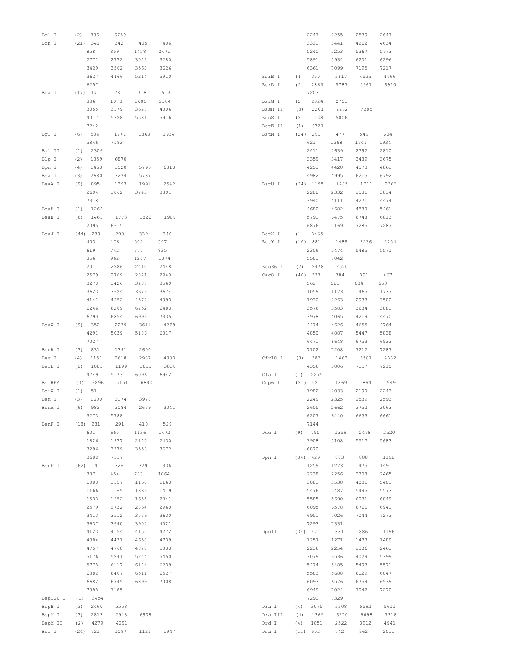| Bcl I    | (2) | 886        | 6759 |      |      |         |      | 2247        | 2255 | 2539 | 2647 |
|----------|-----|------------|------|------|------|---------|------|-------------|------|------|------|
| Bcn I    |     | (21) 341   | 342  | 405  | 406  |         |      | 3331        | 3441 | 4262 | 4634 |
|          |     | 858        | 859  | 1458 | 2471 |         |      | 5240        | 5253 | 5367 | 5773 |
|          |     | 2771       | 2772 | 3043 | 3280 |         |      | 5891        | 5934 | 6201 | 6296 |
|          |     | 3429       | 3562 | 3563 | 3626 |         |      | 6361        | 7099 | 7195 | 7217 |
|          |     | 3627       | 4466 | 5214 | 5910 | BsrB I  | (4)  | 350         | 3617 | 4525 | 4766 |
|          |     | 6257       |      |      |      | BsrD I  | (5)  | 2863        | 5787 | 5961 | 6910 |
| Bfa I    |     | $(17)$ 17  | 28   | 318  | 513  |         |      | 7203        |      |      |      |
|          |     | 836        | 1073 | 1605 | 2304 | BsrG I  | (2)  | 2324        | 2751 |      |      |
|          |     | 3055       | 3179 | 3647 | 4006 | BssH II | (3)  | 2261        | 4472 | 7285 |      |
|          |     | 4017       | 5328 | 5581 | 5916 | BssS I  | (2)  | 1138        | 5006 |      |      |
|          |     | 7242       |      |      |      | BstE II | (1)  | 6721        |      |      |      |
| Bgl I    | (6) | 504        | 1741 | 1863 | 1934 | BstN I  |      | $(24)$ 291  | 477  | 549  | 604  |
|          |     |            |      |      |      |         |      |             |      |      |      |
|          |     | 5846       | 7193 |      |      |         |      | 621         | 1268 | 1741 | 1934 |
| Bgl II   | (1) | 2306       |      |      |      |         |      | 2411        | 2639 | 2792 | 2810 |
| Blp I    | (2) | 1359       | 6870 |      |      |         |      | 3359        | 3417 | 3489 | 3675 |
| Bpm I    | (4) | 1463       | 1520 | 5796 | 6813 |         |      | 4253        | 4420 | 4573 | 4861 |
| Bsa I    | (3) | 2680       | 3274 | 5787 |      |         |      | 4982        | 4995 | 6215 | 6792 |
| BsaA I   | (9) | 895        | 1393 | 1991 | 2542 | BstU I  |      | $(24)$ 1195 | 1485 | 1711 | 2263 |
|          |     | 2604       | 3062 | 3743 | 3801 |         |      | 2288        | 2332 | 2581 | 3834 |
|          |     | 7318       |      |      |      |         |      | 3940        | 4111 | 4271 | 4474 |
| BsaB I   | (1) | 1262       |      |      |      |         |      | 4680        | 4682 | 4880 | 5461 |
| BsaH I   | (6) | 1461       | 1773 | 1826 | 1909 |         |      | 5791        | 6475 | 6748 | 6813 |
|          |     | 2095       | 6615 |      |      |         |      | 6876        | 7169 | 7285 | 7287 |
| BsaJ I   |     | $(44)$ 289 | 290  | 339  | 340  | BstX I  | (1)  | 3465        |      |      |      |
|          |     |            |      |      | 547  |         |      |             |      |      |      |
|          |     | 403        | 476  | 502  |      | BstY I  |      | (10) 881    | 1489 | 2236 | 2254 |
|          |     | 619        | 742  | 777  | 835  |         |      | 2306        | 5474 | 5485 | 5571 |
|          |     | 856        | 962  | 1267 | 1374 |         |      | 5583        | 7042 |      |      |
|          |     | 2011       | 2286 | 2410 | 2448 | Bsu36 I | (2)  | 2478        | 2520 |      |      |
|          |     | 2579       | 2769 | 2841 | 2940 | Cac8 I  |      | $(40)$ 333  | 384  | 391  | 467  |
|          |     | 3278       | 3426 | 3487 | 3560 |         |      | 562         | 581  | 634  | 653  |
|          |     | 3623       | 3624 | 3673 | 3674 |         |      | 1059        | 1173 | 1465 | 1737 |
|          |     | 4141       | 4252 | 4572 | 4993 |         |      | 1930        | 2263 | 2933 | 3500 |
|          |     | 6246       | 6269 | 6452 | 6483 |         |      | 3576        | 3583 | 3634 | 3881 |
|          |     |            |      |      |      |         |      |             |      |      |      |
|          |     | 6790       | 6854 | 6993 | 7335 |         |      | 3978        | 4065 | 4219 | 4470 |
| BsaW I   | (9) | 352        | 2239 | 3611 | 4279 |         |      | 4474        | 4626 | 4655 | 4764 |
|          |     | 4291       | 5039 | 5186 | 6017 |         |      | 4850        | 4887 | 5447 | 5838 |
|          |     | 7027       |      |      |      |         |      | 6471        | 6648 | 6753 | 6933 |
| BseR I   | (3) | 831        | 1391 | 2600 |      |         |      | 7102        | 7208 | 7212 | 7287 |
| Bsg I    | (4) | 1151       | 2618 | 2987 | 4383 | Cfr10 I | (8)  | 382         | 1463 | 3581 | 4332 |
| BsiE I   | (8) | 1083       | 1199 | 1655 | 3838 |         |      | 4356        | 5806 | 7157 | 7210 |
|          |     | 4749       | 5173 | 6096 | 6942 | Cla I   | (1)  | 2275        |      |      |      |
| BsiHKA I | (3) | 3896       | 5151 | 6840 |      | Csp6 I  |      | (21) 52     | 1869 | 1894 | 1949 |
|          |     |            |      |      |      |         |      |             |      |      |      |
| BsiW I   | (1) | 51         |      |      |      |         |      | 1982        | 2033 | 2190 | 2243 |
| Bsm I    | (3) | 1600       | 3174 | 3978 |      |         |      | 2249        | 2325 | 2539 | 2593 |
| BsmA I   | (6) | 982        | 2084 | 2679 | 3041 |         |      | 2605        | 2662 | 2752 | 3063 |
|          |     | 3273       | 5788 |      |      |         |      | 6207        | 6440 | 6653 | 6661 |
| BsmF I   |     | (18) 281   | 291  | 410  | 529  |         |      | 7144        |      |      |      |
|          |     | 601        | 665  | 1136 | 1472 | Dde I   | (9)  | 795         | 1359 | 2478 | 2520 |
|          |     | 1826       | 1977 | 2145 | 2430 |         |      | 3908        | 5108 | 5517 | 5683 |
|          |     | 3296       | 3379 | 3553 | 3672 |         |      | 6870        |      |      |      |
|          |     | 3682       | 7117 |      |      | Dpn I   |      | $(34)$ 429  | 883  | 888  | 1198 |
| BsoF I   |     |            |      |      |      |         |      |             |      |      |      |
|          |     | $(62)$ 14  | 326  | 329  | 336  |         |      | 1259        | 1273 | 1475 | 1491 |
|          |     | 387        | 454  | 783  | 1064 |         |      | 2238        | 2256 | 2308 | 2465 |
|          |     | 1083       | 1157 | 1160 | 1163 |         |      | 3081        | 3538 | 4031 | 5401 |
|          |     | 1166       | 1169 | 1333 | 1419 |         |      | 5476        | 5487 | 5495 | 5573 |
|          |     | 1533       | 1652 | 1655 | 2341 |         |      | 5585        | 5690 | 6031 | 6049 |
|          |     | 2579       | 2732 | 2864 | 2960 |         |      | 6095        | 6578 | 6761 | 6941 |
|          |     | 3413       | 3512 | 3579 | 3630 |         |      | 6951        | 7026 | 7044 | 7272 |
|          |     | 3637       | 3640 | 3902 | 4021 |         |      | 7293        | 7331 |      |      |
|          |     | 4123       | 4154 | 4157 | 4272 | DpnII   |      | $(34)$ 427  | 881  | 886  | 1196 |
|          |     | 4384       | 4431 | 4658 | 4739 |         |      | 1257        | 1271 | 1473 | 1489 |
|          |     | 4757       | 4760 | 4878 | 5033 |         |      | 2236        | 2254 | 2306 | 2463 |
|          |     |            |      |      |      |         |      |             |      |      |      |
|          |     | 5176       | 5241 | 5244 | 5450 |         |      | 3079        | 3536 | 4029 | 5399 |
|          |     | 5778       | 6117 | 6144 | 6239 |         |      | 5474        | 5485 | 5493 | 5571 |
|          |     | 6382       | 6467 | 6511 | 6527 |         |      | 5583        | 5688 | 6029 | 6047 |
|          |     | 6682       | 6749 | 6899 | 7008 |         |      | 6093        | 6576 | 6759 | 6939 |
|          |     | 7088       | 7185 |      |      |         |      | 6949        | 7024 | 7042 | 7270 |
| Bsp120 I | (1) | 3454       |      |      |      |         |      | 7291        | 7329 |      |      |
| BspH I   | (2) | 2460       | 5553 |      |      | Dra I   | (4)  | 3075        | 3308 | 5592 | 5611 |
| BspM I   | (3) | 2813       | 2943 | 6908 |      | Dra III | (4)  | 1369        | 6270 | 6698 | 7318 |
| BspM II  | (2) | 4279       | 4291 |      |      | Drd I   | (4)  | 1051        | 2522 | 3912 | 4941 |
|          |     |            |      |      |      |         |      |             |      |      |      |
| Bsr I    |     | (24) 721   | 1097 | 1121 | 1947 | Dsa I   | (11) | 502         | 742  | 962  | 2011 |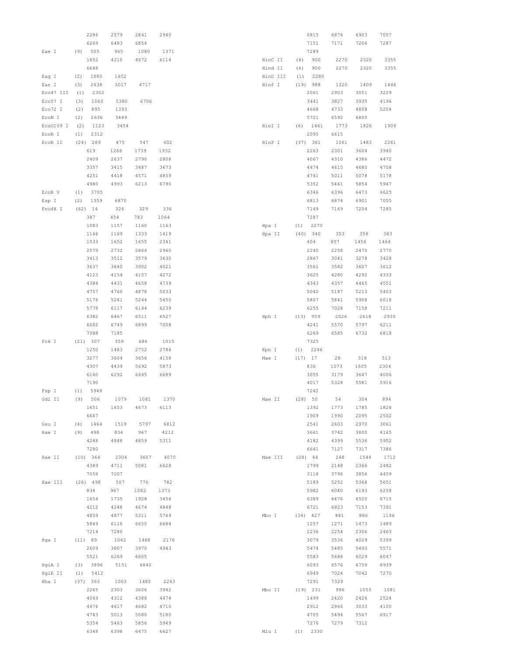|           |     | 2286       | 2579 | 2841 | 2940 |        |          |      | 6815       | 6876 | 6903 | 7057 |
|-----------|-----|------------|------|------|------|--------|----------|------|------------|------|------|------|
|           |     | 6269       | 6483 | 6854 |      |        |          |      | 7151       | 7171 | 7206 | 7287 |
| Eae I     | (9) | 505        | 965  | 1080 | 1371 |        |          |      | 7289       |      |      |      |
|           |     | 1652       | 4210 | 4672 | 6114 |        | HinC II  | (4)  | 900        | 2270 | 2320 | 3355 |
|           |     |            |      |      |      |        |          |      |            |      |      |      |
|           |     | 6648       |      |      |      |        | Hind II  | (4)  | 900        | 2270 | 2320 | 3355 |
| Eag I     | (2) | 1080       | 1652 |      |      |        | HinD III | (1)  | 2280       |      |      |      |
| Ear I     | (3) | 2438       | 3017 | 4717 |      | Hinf I |          | (19) | 988        | 1320 | 1409 | 1446 |
| Eco47 III | (1) | 2302       |      |      |      |        |          |      | 2061       | 2903 | 3051 | 3229 |
| Eco57 I   | (3) | 1060       | 5380 | 6706 |      |        |          |      | 3441       | 3827 | 3935 | 4196 |
| Eco72 I   | (2) | 895        | 1393 |      |      |        |          |      | 4668       | 4733 | 4808 | 5204 |
|           |     |            |      |      |      |        |          |      |            |      |      |      |
| ECON I    | (2) | 2636       | 3449 |      |      |        |          |      | 5721       | 6592 | 6805 |      |
| Eco0109 I | (2) | 1123       | 3454 |      |      | HinI I |          | (6)  | 1461       | 1773 | 1826 | 1909 |
| EcoR I    | (1) | 2312       |      |      |      |        |          |      | 2095       | 6615 |      |      |
| ECOR II   |     | $(24)$ 289 | 475  | 547  | 602  | HinP I |          |      | (37) 361   | 1061 | 1483 | 2261 |
|           |     | 619        | 1266 | 1739 | 1932 |        |          |      | 2263       | 2301 | 3604 | 3940 |
|           |     | 2409       | 2637 | 2790 | 2808 |        |          |      | 4067       | 4310 | 4386 | 4472 |
|           |     |            |      |      |      |        |          |      |            |      |      |      |
|           |     | 3357       | 3415 | 3487 | 3673 |        |          |      | 4474       | 4615 | 4680 | 4708 |
|           |     | 4251       | 4418 | 4571 | 4859 |        |          |      | 4741       | 5011 | 5078 | 5178 |
|           |     | 4980       | 4993 | 6213 | 6790 |        |          |      | 5352       | 5461 | 5854 | 5947 |
| ECOR V    | (1) | 3705       |      |      |      |        |          |      | 6346       | 6396 | 6473 | 6625 |
| Esp I     | (2) | 1359       | 6870 |      |      |        |          |      | 6813       | 6874 | 6901 | 7055 |
| Fnu4H I   |     |            |      |      |      |        |          |      |            |      |      |      |
|           |     | $(62)$ 14  | 326  | 329  | 336  |        |          |      | 7149       | 7169 | 7204 | 7285 |
|           |     | 387        | 454  | 783  | 1064 |        |          |      | 7287       |      |      |      |
|           |     | 1083       | 1157 | 1160 | 1163 | Hpa I  |          | (1)  | 2270       |      |      |      |
|           |     | 1166       | 1169 | 1333 | 1419 | Hpa II |          |      | $(40)$ 340 | 353  | 358  | 383  |
|           |     | 1533       | 1652 | 1655 | 2341 |        |          |      | 404        | 857  | 1456 | 1464 |
|           |     | 2579       | 2732 | 2864 | 2960 |        |          |      | 2240       | 2258 | 2470 | 2770 |
|           |     | 3413       |      | 3579 |      |        |          |      | 2867       | 3041 | 3278 | 3428 |
|           |     |            | 3512 |      | 3630 |        |          |      |            |      |      |      |
|           |     | 3637       | 3640 | 3902 | 4021 |        |          |      | 3561       | 3582 | 3607 | 3612 |
|           |     | 4123       | 4154 | 4157 | 4272 |        |          |      | 3625       | 4280 | 4292 | 4333 |
|           |     | 4384       | 4431 | 4658 | 4739 |        |          |      | 4343       | 4357 | 4465 | 4551 |
|           |     | 4757       | 4760 | 4878 | 5033 |        |          |      | 5040       | 5187 | 5213 | 5403 |
|           |     | 5176       | 5241 | 5244 | 5450 |        |          |      | 5807       | 5841 | 5908 | 6018 |
|           |     |            |      |      |      |        |          |      |            |      |      |      |
|           |     | 5778       | 6117 | 6144 | 6239 |        |          |      | 6255       | 7028 | 7158 | 7211 |
|           |     | 6382       | 6467 | 6511 | 6527 | Hph I  |          |      | (13) 959   | 2026 | 2618 | 2930 |
|           |     | 6682       | 6749 | 6899 | 7008 |        |          |      | 4241       | 5570 | 5797 | 6211 |
|           |     | 7088       | 7185 |      |      |        |          |      | 6269       | 6585 | 6732 | 6818 |
| Fok I     |     | (21) 307   | 359  | 686  | 1015 |        |          |      | 7325       |      |      |      |
|           |     | 1250       | 1483 | 2752 | 2786 | Kpn I  |          | (1)  | 2246       |      |      |      |
|           |     |            |      |      |      |        |          |      |            |      |      |      |
|           |     | 3277       | 3604 | 3656 | 4158 | Mae I  |          | (17) | 17         | 28   | 318  | 513  |
|           |     | 4307       | 4439 | 5692 | 5873 |        |          |      | 836        | 1073 | 1605 | 2304 |
|           |     | 6160       | 6292 | 6445 | 6689 |        |          |      | 3055       | 3179 | 3647 | 4006 |
|           |     | 7190       |      |      |      |        |          |      | 4017       | 5328 | 5581 | 5916 |
| Fsp I     | (1) | 5948       |      |      |      |        |          |      | 7242       |      |      |      |
| Gdi II    | (9) | 506        | 1079 | 1081 | 1370 | Mae II |          |      | (28) 50    | 54   | 304  | 894  |
|           |     |            |      |      |      |        |          |      |            |      |      |      |
|           |     | 1651       | 1653 | 4673 | 6113 |        |          |      | 1392       | 1773 | 1785 | 1826 |
|           |     | 6647       |      |      |      |        |          |      | 1909       | 1990 | 2095 | 2502 |
| Gsu I     | (4) | 1464       | 1519 | 5797 | 6812 |        |          |      | 2541       | 2603 | 2970 | 3061 |
| Hae I     | (9) | 498        | 834  | 967  | 4212 |        |          |      | 3661       | 3742 | 3800 | 4165 |
|           |     | 4248       | 4848 | 4859 | 5311 |        |          |      | 4182       | 4399 | 5536 | 5952 |
|           |     | 7280       |      |      |      |        |          |      | 6641       | 7127 | 7317 | 7386 |
|           |     |            |      |      |      |        |          |      |            |      |      |      |
| Hae II    |     | (10) 364   | 2304 | 3607 | 4070 |        | Mae III  |      | $(28)$ 46  | 248  | 1544 | 1712 |
|           |     | 4389       | 4711 | 5081 | 6628 |        |          |      | 1799       | 2148 | 2366 | 2482 |
|           |     | 7058       | 7207 |      |      |        |          |      | 3118       | 3796 | 3856 | 4459 |
| Hae III   |     | $(26)$ 498 | 507  | 776  | 782  |        |          |      | 5189       | 5252 | 5368 | 5651 |
|           |     | 834        | 967  | 1082 | 1373 |        |          |      | 5982       | 6040 | 6193 | 6258 |
|           |     | 1654       | 1735 | 1928 | 3456 |        |          |      | 6389       | 6476 | 6520 | 6715 |
|           |     |            |      |      |      |        |          |      |            |      |      |      |
|           |     | 4212       | 4248 | 4674 | 4848 |        |          |      | 6721       | 6823 | 7153 | 7391 |
|           |     | 4859       | 4877 | 5311 | 5769 | Mbo I  |          |      | $(34)$ 427 | 881  | 886  | 1196 |
|           |     | 5849       | 6116 | 6650 | 6684 |        |          |      | 1257       | 1271 | 1473 | 1489 |
|           |     | 7214       | 7280 |      |      |        |          |      | 2236       | 2254 | 2306 | 2463 |
| Hga I     |     | (11) 89    | 1042 | 1468 | 2176 |        |          |      | 3079       | 3536 | 4029 | 5399 |
|           |     | 2609       | 3807 | 3970 | 4943 |        |          |      | 5474       | 5485 | 5493 | 5571 |
|           |     |            |      |      |      |        |          |      |            |      |      |      |
|           |     | 5521       | 6269 | 6605 |      |        |          |      | 5583       | 5688 | 6029 | 6047 |
| HgiA I    | (3) | 3896       | 5151 | 6840 |      |        |          |      | 6093       | 6576 | 6759 | 6939 |
| HgiE II   | (1) | 5412       |      |      |      |        |          |      | 6949       | 7024 | 7042 | 7270 |
| Hha I     |     | (37) 363   | 1063 | 1485 | 2263 |        |          |      | 7291       | 7329 |      |      |
|           |     | 2265       | 2303 | 3606 | 3942 | Mbo II |          |      | $(19)$ 231 | 996  | 1053 | 1081 |
|           |     |            |      |      |      |        |          |      |            |      |      |      |
|           |     | 4069       | 4312 | 4388 | 4474 |        |          |      | 1499       | 2420 | 2426 | 2524 |
|           |     | 4476       | 4617 | 4682 | 4710 |        |          |      | 2912       | 2966 | 3033 | 4100 |
|           |     | 4743       | 5013 | 5080 | 5180 |        |          |      | 4705       | 5494 | 5567 | 6917 |
|           |     | 5354       | 5463 | 5856 | 5949 |        |          |      | 7276       | 7279 | 7312 |      |
|           |     | 6348       | 6398 | 6475 | 6627 | Mlu I  |          |      | $(1)$ 2330 |      |      |      |
|           |     |            |      |      |      |        |          |      |            |      |      |      |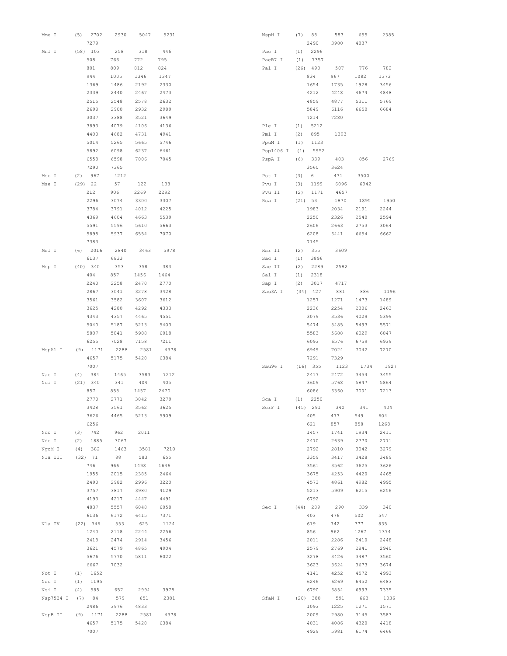| Mme I     | (5)  | 2702         | 2930 | 5047 | 5231 | NspH I    | (7)  | 88           | 583          | 655          | 2385         |
|-----------|------|--------------|------|------|------|-----------|------|--------------|--------------|--------------|--------------|
|           |      | 7279         |      |      |      |           |      | 2490         | 3980         | 4837         |              |
| Mnl I     |      | $(58)$ 103   | 258  | 318  | 446  | Pac I     | (1)  | 2296         |              |              |              |
|           |      | 508          | 766  | 772  | 795  | PaeR7 I   | (1)  | 7357         |              |              |              |
|           |      | 801          | 809  | 812  | 824  | Pal I     |      | $(26)$ 498   | 507          | 776          | 782          |
|           |      | 944          | 1005 | 1346 | 1347 |           |      | 834          | 967          | 1082         | 1373         |
|           |      | 1369         | 1486 | 2192 | 2330 |           |      | 1654         | 1735         | 1928         | 3456         |
|           |      | 2339         | 2440 | 2467 | 2473 |           |      | 4212         | 4248         | 4674         | 4848         |
|           |      | 2515         | 2548 | 2578 | 2632 |           |      | 4859         | 4877         | 5311         | 5769         |
|           |      | 2698         | 2900 | 2932 | 2989 |           |      | 5849         | 6116         | 6650         | 6684         |
|           |      | 3037         | 3388 | 3521 | 3649 |           |      | 7214         | 7280         |              |              |
|           |      | 3893         | 4079 | 4106 | 4136 | Ple I     | (1)  | 5212         |              |              |              |
|           |      | 4400         | 4682 | 4731 | 4941 | Pml I     | (2)  | 895          | 1393         |              |              |
|           |      | 5014         | 5265 | 5665 | 5746 | PpuM I    | (1)  | 1123         |              |              |              |
|           |      | 5892         | 6098 | 6237 | 6461 | Psp1406 I | (1)  | 5952         |              |              |              |
|           |      | 6558         | 6598 | 7006 | 7045 | PspA I    | (6)  | 339          | 403          | 856          | 2769         |
|           |      | 7290         | 7365 |      |      |           |      | 3560         | 3624         |              |              |
| Msc I     | (2)  | 967          | 4212 |      |      | Pst I     | (3)  | 6            | 471          | 3500         |              |
| Mse I     | (29) | -22          | 57   | 122  | 138  | Pvu I     | (3)  | 1199         | 6096         | 6942         |              |
|           |      | 212          | 906  | 2269 | 2292 | Pvu II    | (2)  | 1171         | 4657         |              |              |
|           |      | 2296         | 3074 | 3300 | 3307 | Rsa I     | (21) | 53           | 1870         | 1895         | 1950         |
|           |      | 3784         | 3791 | 4012 | 4225 |           |      | 1983         | 2034         | 2191         | 2244         |
|           |      | 4369         | 4604 | 4663 | 5539 |           |      | 2250         | 2326         | 2540         | 2594         |
|           |      | 5591         | 5596 | 5610 | 5663 |           |      | 2606         | 2663         | 2753         | 3064         |
|           |      | 5898         | 5937 | 6554 | 7070 |           |      | 6208         | 6441         | 6654         | 6662         |
|           |      | 7383         |      |      |      |           |      | 7145         |              |              |              |
| Msl I     | (6)  | 2016         | 2840 | 3463 | 5978 | Rsr II    | (2)  | 355          | 3609         |              |              |
|           |      | 6137         | 6833 |      |      | Sac I     | (1)  | 3896         |              |              |              |
| Msp I     |      | (40) 340     | 353  | 358  | 383  | Sac II    | (2)  | 2289         | 2582         |              |              |
|           |      | 404          | 857  | 1456 | 1464 | Sal I     | (1)  | 2318         |              |              |              |
|           |      | 2240         | 2258 | 2470 | 2770 | Sap I     | (2)  | 3017         | 4717         |              |              |
|           |      | 2867         | 3041 | 3278 | 3428 | Sau3A I   |      | $(34)$ 427   | 881          | 886          | 1196         |
|           |      | 3561         | 3582 | 3607 | 3612 |           |      | 1257         | 1271         | 1473         | 1489         |
|           |      | 3625         | 4280 | 4292 | 4333 |           |      | 2236         | 2254         | 2306         | 2463         |
|           |      | 4343         | 4357 | 4465 | 4551 |           |      | 3079         | 3536         | 4029         | 5399         |
|           |      | 5040         | 5187 | 5213 | 5403 |           |      | 5474         | 5485         | 5493         | 5571         |
|           |      | 5807         | 5841 | 5908 | 6018 |           |      | 5583         | 5688         | 6029         | 6047         |
|           |      | 6255         | 7028 | 7158 | 7211 |           |      | 6093         | 6576         | 6759         | 6939         |
| MspA1 I   | (9)  | 1171         | 2288 | 2581 | 4378 |           |      | 6949         | 7024         | 7042         | 7270         |
|           |      | 4657         | 5175 | 5420 | 6384 |           |      | 7291         | 7329         |              |              |
|           |      | 7007         |      |      |      | Sau96 I   |      | $(16)$ 355   | 1123         | 1734         | 1927         |
| Nae I     | (4)  | 384          | 1465 | 3583 | 7212 |           |      | 2417         | 2472         | 3454         | 3455         |
| Nci I     | (21) | 340          | 341  | 404  | 405  |           |      | 3609         | 5768         | 5847         | 5864         |
|           |      | 857          | 858  | 1457 | 2470 |           |      | 6086         | 6360         | 7001         | 7213         |
|           |      | 2770         | 2771 | 3042 | 3279 | Sca I     | (1)  | 2250         |              |              |              |
|           |      | 3428         | 3561 | 3562 | 3625 | ScrF I    |      | $(45)$ 291   | 340          | 341          | 404          |
|           |      | 3626         | 4465 | 5213 | 5909 |           |      | 405          | 477          | 549          | 604          |
|           |      | 6256         |      |      |      |           |      | 621          | 857          | 858          | 1268         |
| Nco I     | (3)  | 742          | 962  | 2011 |      |           |      | 1457         | 1741         | 1934         | 2411         |
| Nde I     | (2)  | 1885         | 3067 |      |      |           |      | 2470         | 2639         | 2770         | 2771         |
| NgoM I    | (4)  | 382          | 1463 | 3581 | 7210 |           |      | 2792         | 2810         | 3042         | 3279         |
| Nla III   |      | (32) 71      | 88   | 583  | 655  |           |      | 3359         | 3417         | 3428         | 3489         |
|           |      | 746          | 966  | 1498 | 1646 |           |      | 3561         | 3562         | 3625         | 3626         |
|           |      | 1955         | 2015 | 2385 | 2464 |           |      | 3675         | 4253         | 4420         | 4465         |
|           |      | 2490         | 2982 | 2996 | 3220 |           |      | 4573         | 4861         | 4982         | 4995         |
|           |      | 3757         | 3817 | 3980 | 4129 |           |      | 5213         | 5909         | 6215         | 6256         |
|           |      | 4193         | 4217 | 4447 | 4491 |           |      | 6792         |              |              |              |
|           |      | 4837         | 5557 | 6048 | 6058 | Sec I     |      | $(44)$ 289   | 290          | 339          | 340          |
|           |      | 6136         | 6172 | 6415 | 7371 |           |      | 403          | 476          | 502          | 547          |
| Nla IV    |      | (22) 346     | 553  | 625  | 1124 |           |      | 619          | 742          | 777          | 835          |
|           |      | 1240         | 2118 | 2244 | 2256 |           |      | 856<br>2011  | 962<br>2286  | 1267         | 1374         |
|           |      |              |      |      | 3456 |           |      |              |              | 2410         | 2448         |
|           |      | 2418         | 2474 | 2914 |      |           |      |              |              |              |              |
|           |      | 3621         | 4579 | 4865 | 4904 |           |      | 2579         | 2769         | 2841         | 2940         |
|           |      | 5676         | 5770 | 5811 | 6022 |           |      | 3278         | 3426         | 3487         | 3560         |
|           |      | 6667         | 7032 |      |      |           |      | 3623         | 3624         | 3673         | 3674         |
| Not I     | (1)  | 1652         |      |      |      |           |      | 4141         | 4252         | 4572         | 4993         |
| Nru I     | (1)  | 1195         |      |      |      |           |      | 6246         | 6269         | 6452         | 6483         |
| Nsi I     | (4)  | 585          | 657  | 2994 | 3978 |           |      | 6790         | 6854         | 6993         | 7335         |
| Nsp7524 I |      | $(7)$ 84     | 579  | 651  | 2381 | SfaN I    |      | (20) 380     | 591          | 663          | 1036         |
|           |      | 2486         | 3976 | 4833 |      |           |      | 1093         | 1225         | 1271         | 1571         |
| NspB II   | (9)  | 1171         | 2288 | 2581 | 4378 |           |      | 2009         | 2980         | 3145         | 3583         |
|           |      | 4657<br>7007 | 5175 | 5420 | 6384 |           |      | 4031<br>4929 | 4086<br>5981 | 4320<br>6174 | 4418<br>6466 |